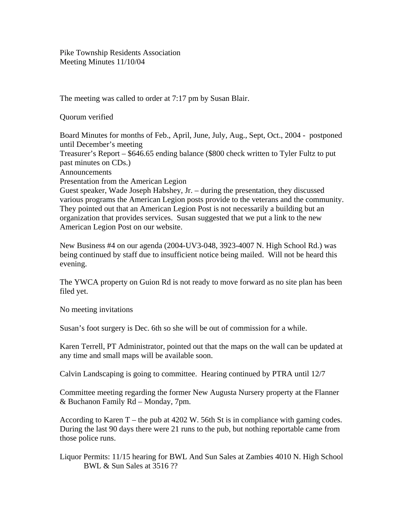Pike Township Residents Association Meeting Minutes 11/10/04

The meeting was called to order at 7:17 pm by Susan Blair.

Quorum verified

Board Minutes for months of Feb., April, June, July, Aug., Sept, Oct., 2004 - postponed until December's meeting Treasurer's Report – \$646.65 ending balance (\$800 check written to Tyler Fultz to put past minutes on CDs.) Announcements Presentation from the American Legion Guest speaker, Wade Joseph Habshey, Jr. – during the presentation, they discussed various programs the American Legion posts provide to the veterans and the community.

They pointed out that an American Legion Post is not necessarily a building but an organization that provides services. Susan suggested that we put a link to the new American Legion Post on our website.

New Business #4 on our agenda (2004-UV3-048, 3923-4007 N. High School Rd.) was being continued by staff due to insufficient notice being mailed. Will not be heard this evening.

The YWCA property on Guion Rd is not ready to move forward as no site plan has been filed yet.

No meeting invitations

Susan's foot surgery is Dec. 6th so she will be out of commission for a while.

Karen Terrell, PT Administrator, pointed out that the maps on the wall can be updated at any time and small maps will be available soon.

Calvin Landscaping is going to committee. Hearing continued by PTRA until 12/7

Committee meeting regarding the former New Augusta Nursery property at the Flanner & Buchanon Family Rd – Monday, 7pm.

According to Karen T – the pub at 4202 W. 56th St is in compliance with gaming codes. During the last 90 days there were 21 runs to the pub, but nothing reportable came from those police runs.

Liquor Permits: 11/15 hearing for BWL And Sun Sales at Zambies 4010 N. High School BWL & Sun Sales at 3516 ??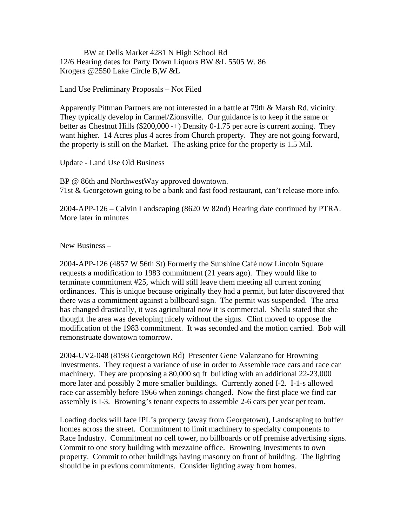BW at Dells Market 4281 N High School Rd 12/6 Hearing dates for Party Down Liquors BW &L 5505 W. 86 Krogers @2550 Lake Circle B,W &L

Land Use Preliminary Proposals – Not Filed

Apparently Pittman Partners are not interested in a battle at 79th & Marsh Rd. vicinity. They typically develop in Carmel/Zionsville. Our guidance is to keep it the same or better as Chestnut Hills (\$200,000 -+) Density 0-1.75 per acre is current zoning. They want higher. 14 Acres plus 4 acres from Church property. They are not going forward, the property is still on the Market. The asking price for the property is 1.5 Mil.

Update - Land Use Old Business

BP @ 86th and NorthwestWay approved downtown. 71st & Georgetown going to be a bank and fast food restaurant, can't release more info.

2004-APP-126 – Calvin Landscaping (8620 W 82nd) Hearing date continued by PTRA. More later in minutes

New Business –

2004-APP-126 (4857 W 56th St) Formerly the Sunshine Café now Lincoln Square requests a modification to 1983 commitment (21 years ago). They would like to terminate commitment #25, which will still leave them meeting all current zoning ordinances. This is unique because originally they had a permit, but later discovered that there was a commitment against a billboard sign. The permit was suspended. The area has changed drastically, it was agricultural now it is commercial. Sheila stated that she thought the area was developing nicely without the signs. Clint moved to oppose the modification of the 1983 commitment. It was seconded and the motion carried. Bob will remonstruate downtown tomorrow.

2004-UV2-048 (8198 Georgetown Rd) Presenter Gene Valanzano for Browning Investments. They request a variance of use in order to Assemble race cars and race car machinery. They are proposing a 80,000 sq ft building with an additional 22-23,000 more later and possibly 2 more smaller buildings. Currently zoned I-2. I-1-s allowed race car assembly before 1966 when zonings changed. Now the first place we find car assembly is I-3. Browning's tenant expects to assemble 2-6 cars per year per team.

Loading docks will face IPL's property (away from Georgetown), Landscaping to buffer homes across the street. Commitment to limit machinery to specialty components to Race Industry. Commitment no cell tower, no billboards or off premise advertising signs. Commit to one story building with mezzaine office. Browning Investments to own property. Commit to other buildings having masonry on front of building. The lighting should be in previous commitments. Consider lighting away from homes.